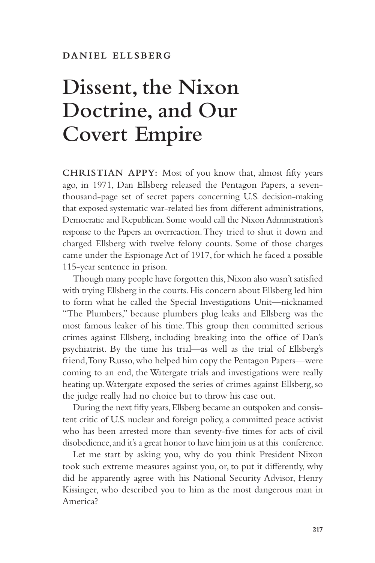## **Dissent, the Nixon Doctrine, and Our Covert Empire**

**CHRISTIAN APPY:** Most of you know that, almost fifty years ago, in 1971, Dan Ellsberg released the Pentagon Papers, a seventhousand-page set of secret papers concerning U.S. decision-making that exposed systematic war-related lies from different administrations, Democratic and Republican. Some would call the Nixon Administration's response to the Papers an overreaction. They tried to shut it down and charged Ellsberg with twelve felony counts. Some of those charges came under the Espionage Act of 1917, for which he faced a possible 115-year sentence in prison.

Though many people have forgotten this, Nixon also wasn't satisfied with trying Ellsberg in the courts. His concern about Ellsberg led him to form what he called the Special Investigations Unit—nicknamed "The Plumbers," because plumbers plug leaks and Ellsberg was the most famous leaker of his time. This group then committed serious crimes against Ellsberg, including breaking into the office of Dan's psychiatrist. By the time his trial—as well as the trial of Ellsberg's friend, Tony Russo, who helped him copy the Pentagon Papers—were coming to an end, the Watergate trials and investigations were really heating up. Watergate exposed the series of crimes against Ellsberg, so the judge really had no choice but to throw his case out.

During the next fifty years, Ellsberg became an outspoken and consistent critic of U.S. nuclear and foreign policy, a committed peace activist who has been arrested more than seventy-five times for acts of civil disobedience, and it's a great honor to have him join us at this conference.

Let me start by asking you, why do you think President Nixon took such extreme measures against you, or, to put it differently, why did he apparently agree with his National Security Advisor, Henry Kissinger, who described you to him as the most dangerous man in America?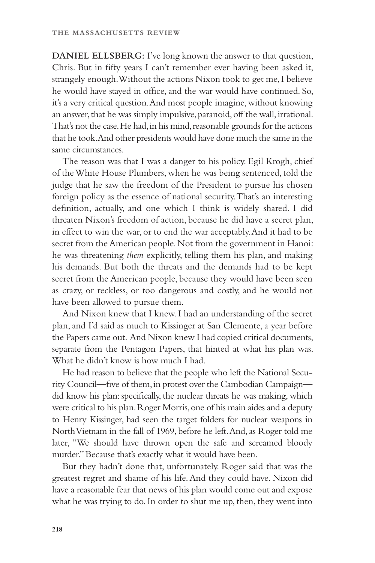**DANIEL ELLSBERG:** I've long known the answer to that question, Chris. But in fifty years I can't remember ever having been asked it, strangely enough. Without the actions Nixon took to get me, I believe he would have stayed in office, and the war would have continued. So, it's a very critical question. And most people imagine, without knowing an answer, that he was simply impulsive, paranoid, off the wall, irrational. That's not the case. He had, in his mind, reasonable grounds for the actions that he took. And other presidents would have done much the same in the same circumstances.

The reason was that I was a danger to his policy. Egil Krogh, chief of the White House Plumbers, when he was being sentenced, told the judge that he saw the freedom of the President to pursue his chosen foreign policy as the essence of national security. That's an interesting definition, actually, and one which I think is widely shared. I did threaten Nixon's freedom of action, because he did have a secret plan, in effect to win the war, or to end the war acceptably. And it had to be secret from the American people. Not from the government in Hanoi: he was threatening *them* explicitly, telling them his plan, and making his demands. But both the threats and the demands had to be kept secret from the American people, because they would have been seen as crazy, or reckless, or too dangerous and costly, and he would not have been allowed to pursue them.

And Nixon knew that I knew. I had an understanding of the secret plan, and I'd said as much to Kissinger at San Clemente, a year before the Papers came out. And Nixon knew I had copied critical documents, separate from the Pentagon Papers, that hinted at what his plan was. What he didn't know is how much I had.

He had reason to believe that the people who left the National Security Council—five of them, in protest over the Cambodian Campaign did know his plan: specifically, the nuclear threats he was making, which were critical to his plan. Roger Morris, one of his main aides and a deputy to Henry Kissinger, had seen the target folders for nuclear weapons in North Vietnam in the fall of 1969, before he left. And, as Roger told me later, "We should have thrown open the safe and screamed bloody murder." Because that's exactly what it would have been.

But they hadn't done that, unfortunately. Roger said that was the greatest regret and shame of his life. And they could have. Nixon did have a reasonable fear that news of his plan would come out and expose what he was trying to do. In order to shut me up, then, they went into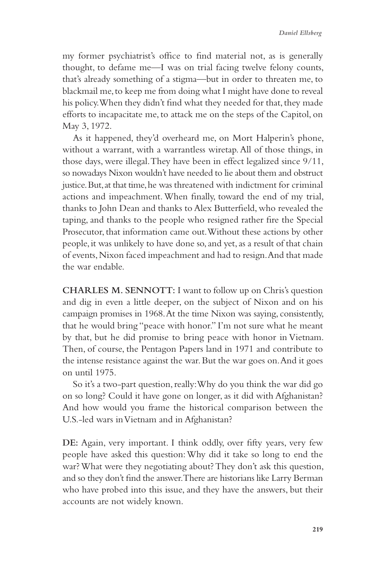my former psychiatrist's office to find material not, as is generally thought, to defame me—I was on trial facing twelve felony counts, that's already something of a stigma—but in order to threaten me, to blackmail me, to keep me from doing what I might have done to reveal his policy. When they didn't find what they needed for that, they made efforts to incapacitate me, to attack me on the steps of the Capitol, on May 3, 1972.

As it happened, they'd overheard me, on Mort Halperin's phone, without a warrant, with a warrantless wiretap. All of those things, in those days, were illegal. They have been in effect legalized since 9/11, so nowadays Nixon wouldn't have needed to lie about them and obstruct justice. But, at that time, he was threatened with indictment for criminal actions and impeachment. When finally, toward the end of my trial, thanks to John Dean and thanks to Alex Butterfield, who revealed the taping, and thanks to the people who resigned rather fire the Special Prosecutor, that information came out. Without these actions by other people, it was unlikely to have done so, and yet, as a result of that chain of events, Nixon faced impeachment and had to resign. And that made the war endable.

**CHARLES M. SENNOTT:** I want to follow up on Chris's question and dig in even a little deeper, on the subject of Nixon and on his campaign promises in 1968. At the time Nixon was saying, consistently, that he would bring "peace with honor." I'm not sure what he meant by that, but he did promise to bring peace with honor in Vietnam. Then, of course, the Pentagon Papers land in 1971 and contribute to the intense resistance against the war. But the war goes on. And it goes on until 1975.

So it's a two-part question, really: Why do you think the war did go on so long? Could it have gone on longer, as it did with Afghanistan? And how would you frame the historical comparison between the U.S.-led wars in Vietnam and in Afghanistan?

**DE:** Again, very important. I think oddly, over fifty years, very few people have asked this question: Why did it take so long to end the war? What were they negotiating about? They don't ask this question, and so they don't find the answer. There are historians like Larry Berman who have probed into this issue, and they have the answers, but their accounts are not widely known.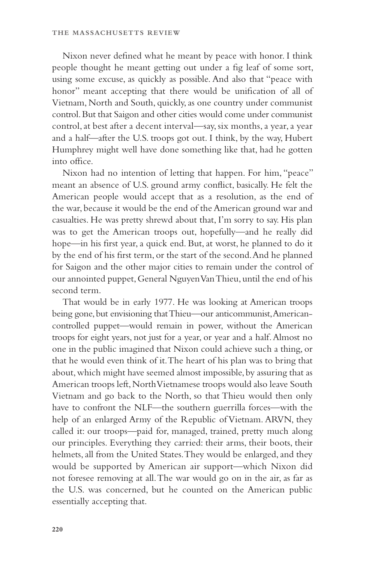Nixon never defined what he meant by peace with honor. I think people thought he meant getting out under a fig leaf of some sort, using some excuse, as quickly as possible. And also that "peace with honor" meant accepting that there would be unification of all of Vietnam, North and South, quickly, as one country under communist control. But that Saigon and other cities would come under communist control, at best after a decent interval—say, six months, a year, a year and a half—after the U.S. troops got out. I think, by the way, Hubert Humphrey might well have done something like that, had he gotten into office.

Nixon had no intention of letting that happen. For him, "peace" meant an absence of U.S. ground army conflict, basically. He felt the American people would accept that as a resolution, as the end of the war, because it would be the end of the American ground war and casualties. He was pretty shrewd about that, I'm sorry to say. His plan was to get the American troops out, hopefully—and he really did hope—in his first year, a quick end. But, at worst, he planned to do it by the end of his first term, or the start of the second. And he planned for Saigon and the other major cities to remain under the control of our annointed puppet, General Nguyen Van Thieu, until the end of his second term.

That would be in early 1977. He was looking at American troops being gone, but envisioning that Thieu—our anticommunist, Americancontrolled puppet—would remain in power, without the American troops for eight years, not just for a year, or year and a half. Almost no one in the public imagined that Nixon could achieve such a thing, or that he would even think of it. The heart of his plan was to bring that about, which might have seemed almost impossible, by assuring that as American troops left, North Vietnamese troops would also leave South Vietnam and go back to the North, so that Thieu would then only have to confront the NLF—the southern guerrilla forces—with the help of an enlarged Army of the Republic of Vietnam. ARVN, they called it: our troops—paid for, managed, trained, pretty much along our principles. Everything they carried: their arms, their boots, their helmets, all from the United States. They would be enlarged, and they would be supported by American air support—which Nixon did not foresee removing at all. The war would go on in the air, as far as the U.S. was concerned, but he counted on the American public essentially accepting that.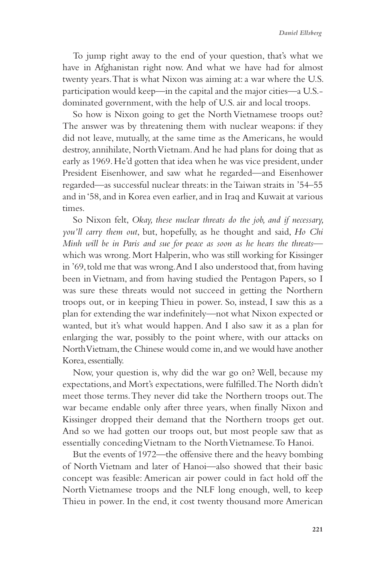To jump right away to the end of your question, that's what we have in Afghanistan right now. And what we have had for almost twenty years. That is what Nixon was aiming at: a war where the U.S. participation would keep—in the capital and the major cities—a U.S. dominated government, with the help of U.S. air and local troops.

So how is Nixon going to get the North Vietnamese troops out? The answer was by threatening them with nuclear weapons: if they did not leave, mutually, at the same time as the Americans, he would destroy, annihilate, North Vietnam. And he had plans for doing that as early as 1969. He'd gotten that idea when he was vice president, under President Eisenhower, and saw what he regarded—and Eisenhower regarded—as successful nuclear threats: in the Taiwan straits in '54–55 and in '58, and in Korea even earlier, and in Iraq and Kuwait at various times.

So Nixon felt, *Okay, these nuclear threats do the job, and if necessary, you'll carry them out*, but, hopefully, as he thought and said, *Ho Chi Minh will be in Paris and sue for peace as soon as he hears the threats* which was wrong. Mort Halperin, who was still working for Kissinger in '69, told me that was wrong. And I also understood that, from having been in Vietnam, and from having studied the Pentagon Papers, so I was sure these threats would not succeed in getting the Northern troops out, or in keeping Thieu in power. So, instead, I saw this as a plan for extending the war indefinitely—not what Nixon expected or wanted, but it's what would happen. And I also saw it as a plan for enlarging the war, possibly to the point where, with our attacks on North Vietnam, the Chinese would come in, and we would have another Korea, essentially.

Now, your question is, why did the war go on? Well, because my expectations, and Mort's expectations, were fulfilled. The North didn't meet those terms. They never did take the Northern troops out. The war became endable only after three years, when finally Nixon and Kissinger dropped their demand that the Northern troops get out. And so we had gotten our troops out, but most people saw that as essentially conceding Vietnam to the North Vietnamese. To Hanoi.

But the events of 1972—the offensive there and the heavy bombing of North Vietnam and later of Hanoi—also showed that their basic concept was feasible: American air power could in fact hold off the North Vietnamese troops and the NLF long enough, well, to keep Thieu in power. In the end, it cost twenty thousand more American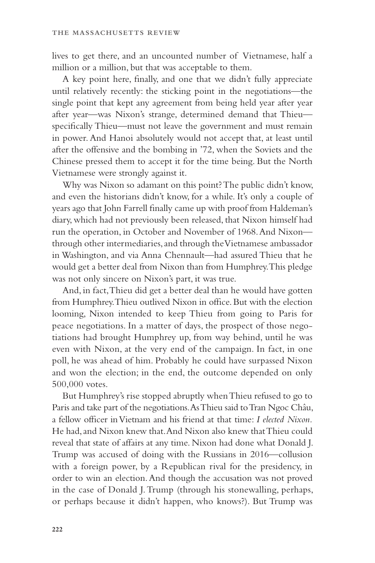lives to get there, and an uncounted number of Vietnamese, half a million or a million, but that was acceptable to them.

A key point here, finally, and one that we didn't fully appreciate until relatively recently: the sticking point in the negotiations—the single point that kept any agreement from being held year after year after year—was Nixon's strange, determined demand that Thieu specifically Thieu—must not leave the government and must remain in power. And Hanoi absolutely would not accept that, at least until after the offensive and the bombing in '72, when the Soviets and the Chinese pressed them to accept it for the time being. But the North Vietnamese were strongly against it.

Why was Nixon so adamant on this point? The public didn't know, and even the historians didn't know, for a while. It's only a couple of years ago that John Farrell finally came up with proof from Haldeman's diary, which had not previously been released, that Nixon himself had run the operation, in October and November of 1968. And Nixon through other intermediaries, and through the Vietnamese ambassador in Washington, and via Anna Chennault—had assured Thieu that he would get a better deal from Nixon than from Humphrey. This pledge was not only sincere on Nixon's part, it was true.

And, in fact, Thieu did get a better deal than he would have gotten from Humphrey. Thieu outlived Nixon in office. But with the election looming, Nixon intended to keep Thieu from going to Paris for peace negotiations. In a matter of days, the prospect of those negotiations had brought Humphrey up, from way behind, until he was even with Nixon, at the very end of the campaign. In fact, in one poll, he was ahead of him. Probably he could have surpassed Nixon and won the election; in the end, the outcome depended on only 500,000 votes.

But Humphrey's rise stopped abruptly when Thieu refused to go to Paris and take part of the negotiations. As Thieu said to Tran Ngoc Châu, a fellow officer in Vietnam and his friend at that time: *I elected Nixon.* He had, and Nixon knew that. And Nixon also knew that Thieu could reveal that state of affairs at any time. Nixon had done what Donald J. Trump was accused of doing with the Russians in 2016—collusion with a foreign power, by a Republican rival for the presidency, in order to win an election. And though the accusation was not proved in the case of Donald J. Trump (through his stonewalling, perhaps, or perhaps because it didn't happen, who knows?). But Trump was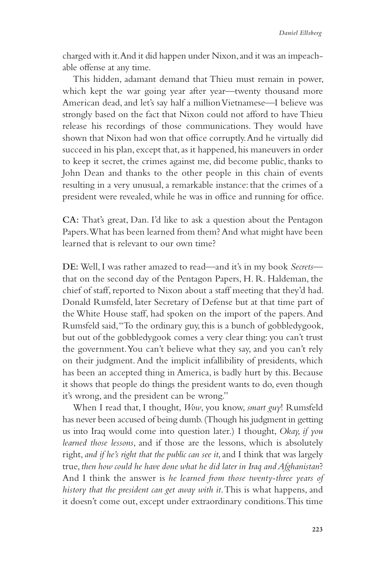charged with it. And it did happen under Nixon, and it was an impeachable offense at any time.

This hidden, adamant demand that Thieu must remain in power, which kept the war going year after year—twenty thousand more American dead, and let's say half a million Vietnamese—I believe was strongly based on the fact that Nixon could not afford to have Thieu release his recordings of those communications. They would have shown that Nixon had won that office corruptly. And he virtually did succeed in his plan, except that, as it happened, his maneuvers in order to keep it secret, the crimes against me, did become public, thanks to John Dean and thanks to the other people in this chain of events resulting in a very unusual, a remarkable instance: that the crimes of a president were revealed, while he was in office and running for office.

**CA:** That's great, Dan. I'd like to ask a question about the Pentagon Papers. What has been learned from them? And what might have been learned that is relevant to our own time?

**DE:** Well, I was rather amazed to read—and it's in my book *Secrets* that on the second day of the Pentagon Papers, H. R. Haldeman, the chief of staff, reported to Nixon about a staff meeting that they'd had. Donald Rumsfeld, later Secretary of Defense but at that time part of the White House staff, had spoken on the import of the papers. And Rumsfeld said, "To the ordinary guy, this is a bunch of gobbledygook, but out of the gobbledygook comes a very clear thing: you can't trust the government. You can't believe what they say, and you can't rely on their judgment. And the implicit infallibility of presidents, which has been an accepted thing in America, is badly hurt by this. Because it shows that people do things the president wants to do, even though it's wrong, and the president can be wrong."

When I read that, I thought, *Wow*, you know, *smart guy*! Rumsfeld has never been accused of being dumb. (Though his judgment in getting us into Iraq would come into question later.) I thought, *Okay, if you learned those lessons*, and if those are the lessons, which is absolutely right, *and if he's right that the public can see it*, and I think that was largely true, *then how could he have done what he did later in Iraq and Afghanistan*? And I think the answer is *he learned from those twenty-three years of history that the president can get away with it*. This is what happens, and it doesn't come out, except under extraordinary conditions. This time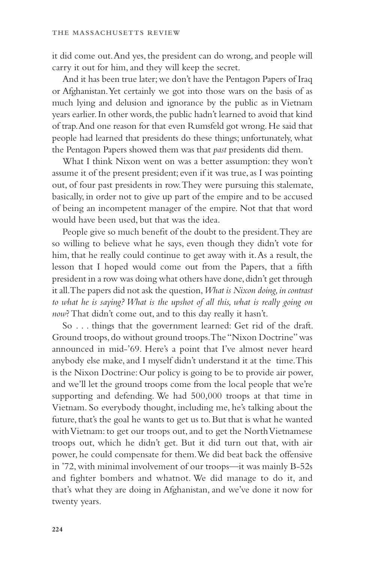it did come out. And yes, the president can do wrong, and people will carry it out for him, and they will keep the secret.

And it has been true later; we don't have the Pentagon Papers of Iraq or Afghanistan. Yet certainly we got into those wars on the basis of as much lying and delusion and ignorance by the public as in Vietnam years earlier. In other words, the public hadn't learned to avoid that kind of trap. And one reason for that even Rumsfeld got wrong. He said that people had learned that presidents do these things; unfortunately, what the Pentagon Papers showed them was that *past* presidents did them.

What I think Nixon went on was a better assumption: they won't assume it of the present president; even if it was true, as I was pointing out, of four past presidents in row. They were pursuing this stalemate, basically, in order not to give up part of the empire and to be accused of being an incompetent manager of the empire. Not that that word would have been used, but that was the idea.

People give so much benefit of the doubt to the president. They are so willing to believe what he says, even though they didn't vote for him, that he really could continue to get away with it. As a result, the lesson that I hoped would come out from the Papers, that a fifth president in a row was doing what others have done, didn't get through it all. The papers did not ask the question, *What is Nixon doing, in contrast to what he is saying? What is the upshot of all this, what is really going on now*? That didn't come out, and to this day really it hasn't.

So . . . things that the government learned: Get rid of the draft. Ground troops, do without ground troops. The "Nixon Doctrine" was announced in mid-'69. Here's a point that I've almost never heard anybody else make, and I myself didn't understand it at the time. This is the Nixon Doctrine: Our policy is going to be to provide air power, and we'll let the ground troops come from the local people that we're supporting and defending. We had 500,000 troops at that time in Vietnam. So everybody thought, including me, he's talking about the future, that's the goal he wants to get us to. But that is what he wanted with Vietnam: to get our troops out, and to get the North Vietnamese troops out, which he didn't get. But it did turn out that, with air power, he could compensate for them. We did beat back the offensive in '72, with minimal involvement of our troops—it was mainly B-52s and fighter bombers and whatnot. We did manage to do it, and that's what they are doing in Afghanistan, and we've done it now for twenty years.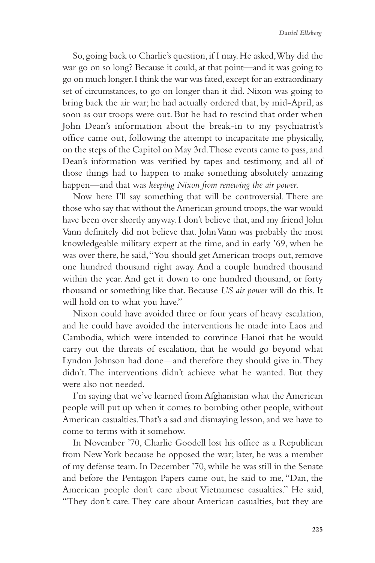So, going back to Charlie's question, if I may. He asked, Why did the war go on so long? Because it could, at that point—and it was going to go on much longer. I think the war was fated, except for an extraordinary set of circumstances, to go on longer than it did. Nixon was going to bring back the air war; he had actually ordered that, by mid-April, as soon as our troops were out. But he had to rescind that order when John Dean's information about the break-in to my psychiatrist's office came out, following the attempt to incapacitate me physically, on the steps of the Capitol on May 3rd. Those events came to pass, and Dean's information was verified by tapes and testimony, and all of those things had to happen to make something absolutely amazing happen—and that was *keeping Nixon from renewing the air power*.

Now here I'll say something that will be controversial. There are those who say that without the American ground troops, the war would have been over shortly anyway. I don't believe that, and my friend John Vann definitely did not believe that. John Vann was probably the most knowledgeable military expert at the time, and in early '69, when he was over there, he said, "You should get American troops out, remove one hundred thousand right away. And a couple hundred thousand within the year. And get it down to one hundred thousand, or forty thousand or something like that. Because *US air power* will do this. It will hold on to what you have."

Nixon could have avoided three or four years of heavy escalation, and he could have avoided the interventions he made into Laos and Cambodia, which were intended to convince Hanoi that he would carry out the threats of escalation, that he would go beyond what Lyndon Johnson had done—and therefore they should give in. They didn't. The interventions didn't achieve what he wanted. But they were also not needed.

I'm saying that we've learned from Afghanistan what the American people will put up when it comes to bombing other people, without American casualties. That's a sad and dismaying lesson, and we have to come to terms with it somehow.

In November '70, Charlie Goodell lost his office as a Republican from New York because he opposed the war; later, he was a member of my defense team. In December '70, while he was still in the Senate and before the Pentagon Papers came out, he said to me, "Dan, the American people don't care about Vietnamese casualties." He said, "They don't care. They care about American casualties, but they are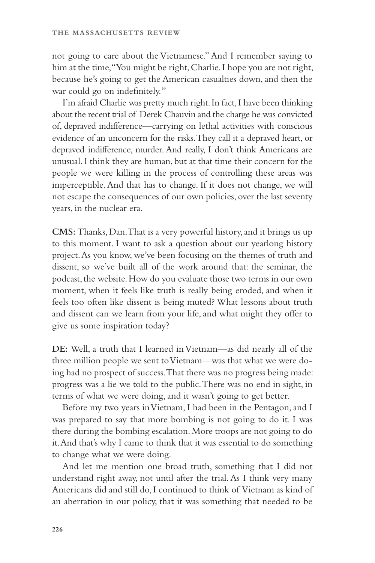not going to care about the Vietnamese." And I remember saying to him at the time,"You might be right, Charlie. I hope you are not right, because he's going to get the American casualties down, and then the war could go on indefinitely."

I'm afraid Charlie was pretty much right. In fact, I have been thinking about the recent trial of Derek Chauvin and the charge he was convicted of, depraved indifference—carrying on lethal activities with conscious evidence of an unconcern for the risks. They call it a depraved heart, or depraved indifference, murder. And really, I don't think Americans are unusual. I think they are human, but at that time their concern for the people we were killing in the process of controlling these areas was imperceptible. And that has to change. If it does not change, we will not escape the consequences of our own policies, over the last seventy years, in the nuclear era.

**CMS:** Thanks, Dan. That is a very powerful history, and it brings us up to this moment. I want to ask a question about our yearlong history project. As you know, we've been focusing on the themes of truth and dissent, so we've built all of the work around that: the seminar, the podcast, the website. How do you evaluate those two terms in our own moment, when it feels like truth is really being eroded, and when it feels too often like dissent is being muted? What lessons about truth and dissent can we learn from your life, and what might they offer to give us some inspiration today?

**DE:** Well, a truth that I learned in Vietnam—as did nearly all of the three million people we sent to Vietnam—was that what we were doing had no prospect of success. That there was no progress being made: progress was a lie we told to the public. There was no end in sight, in terms of what we were doing, and it wasn't going to get better.

Before my two years in Vietnam, I had been in the Pentagon, and I was prepared to say that more bombing is not going to do it. I was there during the bombing escalation. More troops are not going to do it. And that's why I came to think that it was essential to do something to change what we were doing.

And let me mention one broad truth, something that I did not understand right away, not until after the trial. As I think very many Americans did and still do, I continued to think of Vietnam as kind of an aberration in our policy, that it was something that needed to be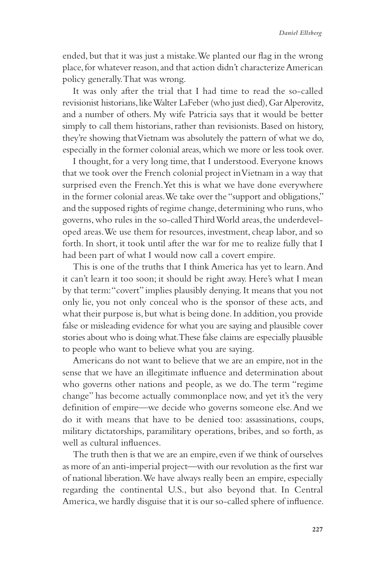ended, but that it was just a mistake. We planted our flag in the wrong place, for whatever reason, and that action didn't characterize American policy generally. That was wrong.

It was only after the trial that I had time to read the so-called revisionist historians, like Walter LaFeber (who just died), Gar Alperovitz, and a number of others. My wife Patricia says that it would be better simply to call them historians, rather than revisionists. Based on history, they're showing that Vietnam was absolutely the pattern of what we do, especially in the former colonial areas, which we more or less took over.

I thought, for a very long time, that I understood. Everyone knows that we took over the French colonial project in Vietnam in a way that surprised even the French. Yet this is what we have done everywhere in the former colonial areas. We take over the "support and obligations," and the supposed rights of regime change, determining who runs, who governs, who rules in the so-called Third World areas, the underdeveloped areas. We use them for resources, investment, cheap labor, and so forth. In short, it took until after the war for me to realize fully that I had been part of what I would now call a covert empire.

This is one of the truths that I think America has yet to learn. And it can't learn it too soon; it should be right away. Here's what I mean by that term: "covert" implies plausibly denying. It means that you not only lie, you not only conceal who is the sponsor of these acts, and what their purpose is, but what is being done. In addition, you provide false or misleading evidence for what you are saying and plausible cover stories about who is doing what. These false claims are especially plausible to people who want to believe what you are saying.

Americans do not want to believe that we are an empire, not in the sense that we have an illegitimate influence and determination about who governs other nations and people, as we do. The term "regime change" has become actually commonplace now, and yet it's the very definition of empire—we decide who governs someone else. And we do it with means that have to be denied too: assassinations, coups, military dictatorships, paramilitary operations, bribes, and so forth, as well as cultural influences.

The truth then is that we are an empire, even if we think of ourselves as more of an anti-imperial project—with our revolution as the first war of national liberation. We have always really been an empire, especially regarding the continental U.S., but also beyond that. In Central America, we hardly disguise that it is our so-called sphere of influence.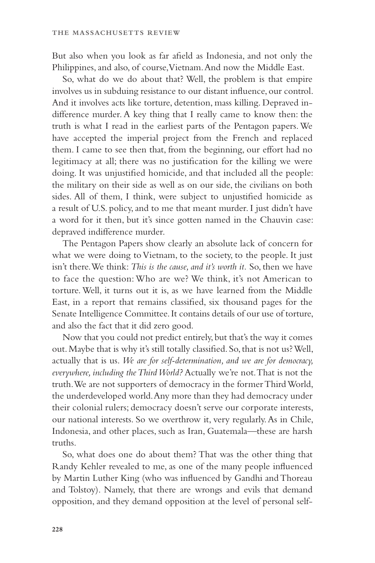But also when you look as far afield as Indonesia, and not only the Philippines, and also, of course, Vietnam. And now the Middle East.

So, what do we do about that? Well, the problem is that empire involves us in subduing resistance to our distant influence, our control. And it involves acts like torture, detention, mass killing. Depraved indifference murder. A key thing that I really came to know then: the truth is what I read in the earliest parts of the Pentagon papers. We have accepted the imperial project from the French and replaced them. I came to see then that, from the beginning, our effort had no legitimacy at all; there was no justification for the killing we were doing. It was unjustified homicide, and that included all the people: the military on their side as well as on our side, the civilians on both sides. All of them, I think, were subject to unjustified homicide as a result of U.S. policy, and to me that meant murder. I just didn't have a word for it then, but it's since gotten named in the Chauvin case: depraved indifference murder.

The Pentagon Papers show clearly an absolute lack of concern for what we were doing to Vietnam, to the society, to the people. It just isn't there. We think: *This is the cause, and it's worth it.* So, then we have to face the question: Who are we? We think, it's not American to torture. Well, it turns out it is, as we have learned from the Middle East, in a report that remains classified, six thousand pages for the Senate Intelligence Committee. It contains details of our use of torture, and also the fact that it did zero good.

Now that you could not predict entirely, but that's the way it comes out. Maybe that is why it's still totally classified. So, that is not us? Well, actually that is us. *We are for self-determination, and we are for democracy, everywhere, including the Third World?* Actually we're not. That is not the truth. We are not supporters of democracy in the former Third World, the underdeveloped world. Any more than they had democracy under their colonial rulers; democracy doesn't serve our corporate interests, our national interests. So we overthrow it, very regularly. As in Chile, Indonesia, and other places, such as Iran, Guatemala—these are harsh truths.

So, what does one do about them? That was the other thing that Randy Kehler revealed to me, as one of the many people influenced by Martin Luther King (who was influenced by Gandhi and Thoreau and Tolstoy). Namely, that there are wrongs and evils that demand opposition, and they demand opposition at the level of personal self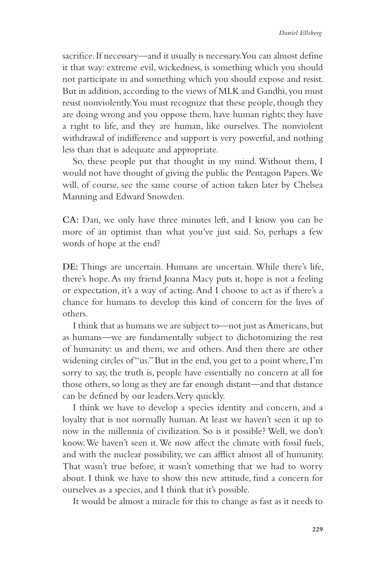sacrifice. If necessary—and it usually is necessary. You can almost define it that way: extreme evil, wickedness, is something which you should not participate in and something which you should expose and resist. But in addition, according to the views of MLK and Gandhi, you must resist nonviolently. You must recognize that these people, though they are doing wrong and you oppose them, have human rights; they have a right to life, and they are human, like ourselves. The nonviolent withdrawal of indifference and support is very powerful, and nothing less than that is adequate and appropriate.

So, these people put that thought in my mind. Without them, I would not have thought of giving the public the Pentagon Papers. We will, of course, see the same course of action taken later by Chelsea Manning and Edward Snowden.

**CA:** Dan, we only have three minutes left, and I know you can be more of an optimist than what you've just said. So, perhaps a few words of hope at the end?

**DE:** Things are uncertain. Humans are uncertain. While there's life, there's hope. As my friend Joanna Macy puts it, hope is not a feeling or expectation, it's a way of acting. And I choose to act as if there's a chance for humans to develop this kind of concern for the lives of others.

I think that as humans we are subject to—not just as Americans, but as humans—we are fundamentally subject to dichotomizing the rest of humanity: us and them, we and others. And then there are other widening circles of "us." But in the end, you get to a point where, I'm sorry to say, the truth is, people have essentially no concern at all for those others, so long as they are far enough distant—and that distance can be defined by our leaders. Very quickly.

I think we have to develop a species identity and concern, and a loyalty that is not normally human. At least we haven't seen it up to now in the millennia of civilization. So is it possible? Well, we don't know. We haven't seen it. We now affect the climate with fossil fuels, and with the nuclear possibility, we can afflict almost all of humanity. That wasn't true before, it wasn't something that we had to worry about. I think we have to show this new attitude, find a concern for ourselves as a species, and I think that it's possible.

It would be almost a miracle for this to change as fast as it needs to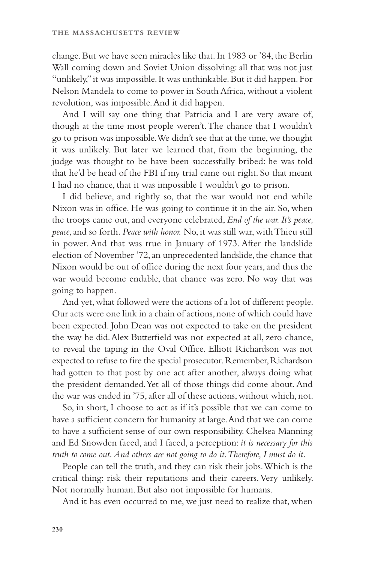change. But we have seen miracles like that. In 1983 or '84, the Berlin Wall coming down and Soviet Union dissolving: all that was not just "unlikely," it was impossible. It was unthinkable. But it did happen. For Nelson Mandela to come to power in South Africa, without a violent revolution, was impossible. And it did happen.

And I will say one thing that Patricia and I are very aware of, though at the time most people weren't. The chance that I wouldn't go to prison was impossible. We didn't see that at the time, we thought it was unlikely. But later we learned that, from the beginning, the judge was thought to be have been successfully bribed: he was told that he'd be head of the FBI if my trial came out right. So that meant I had no chance, that it was impossible I wouldn't go to prison.

I did believe, and rightly so, that the war would not end while Nixon was in office. He was going to continue it in the air. So, when the troops came out, and everyone celebrated, *End of the war. It's peace, peace,* and so forth*. Peace with honor.* No, it was still war, with Thieu still in power. And that was true in January of 1973. After the landslide election of November '72, an unprecedented landslide, the chance that Nixon would be out of office during the next four years, and thus the war would become endable, that chance was zero. No way that was going to happen.

And yet, what followed were the actions of a lot of different people. Our acts were one link in a chain of actions, none of which could have been expected. John Dean was not expected to take on the president the way he did. Alex Butterfield was not expected at all, zero chance, to reveal the taping in the Oval Office. Elliott Richardson was not expected to refuse to fire the special prosecutor. Remember, Richardson had gotten to that post by one act after another, always doing what the president demanded. Yet all of those things did come about. And the war was ended in '75, after all of these actions, without which, not.

So, in short, I choose to act as if it's possible that we can come to have a sufficient concern for humanity at large. And that we can come to have a sufficient sense of our own responsibility. Chelsea Manning and Ed Snowden faced, and I faced, a perception: *it is necessary for this truth to come out*. *And others are not going to do it. Therefore, I must do it.*

People can tell the truth, and they can risk their jobs. Which is the critical thing: risk their reputations and their careers. Very unlikely. Not normally human. But also not impossible for humans.

And it has even occurred to me, we just need to realize that, when